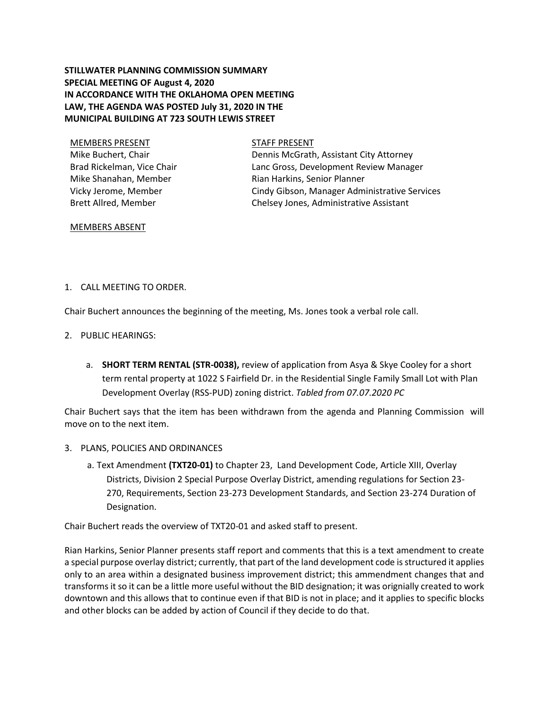# **STILLWATER PLANNING COMMISSION SUMMARY SPECIAL MEETING OF August 4, 2020 IN ACCORDANCE WITH THE OKLAHOMA OPEN MEETING LAW, THE AGENDA WAS POSTED July 31, 2020 IN THE MUNICIPAL BUILDING AT 723 SOUTH LEWIS STREET**

MEMBERS PRESENT STAFF PRESENT Mike Buchert, Chair Brad Rickelman, Vice Chair Mike Shanahan, Member Vicky Jerome, Member Brett Allred, Member

Dennis McGrath, Assistant City Attorney Lanc Gross, Development Review Manager Rian Harkins, Senior Planner Cindy Gibson, Manager Administrative Services Chelsey Jones, Administrative Assistant

### MEMBERS ABSENT

### 1. CALL MEETING TO ORDER.

Chair Buchert announces the beginning of the meeting, Ms. Jones took a verbal role call.

- 2. PUBLIC HEARINGS:
	- a. **SHORT TERM RENTAL (STR-0038),** review of application from Asya & Skye Cooley for a short term rental property at 1022 S Fairfield Dr. in the Residential Single Family Small Lot with Plan Development Overlay (RSS-PUD) zoning district. *Tabled from 07.07.2020 PC*

Chair Buchert says that the item has been withdrawn from the agenda and Planning Commission will move on to the next item.

- 3. PLANS, POLICIES AND ORDINANCES
	- a. Text Amendment **(TXT20-01)** to Chapter 23, Land Development Code, Article XIII, Overlay Districts, Division 2 Special Purpose Overlay District, amending regulations for Section 23- 270, Requirements, Section 23-273 Development Standards, and Section 23-274 Duration of Designation.

Chair Buchert reads the overview of TXT20-01 and asked staff to present.

Rian Harkins, Senior Planner presents staff report and comments that this is a text amendment to create a special purpose overlay district; currently, that part of the land development code is structured it applies only to an area within a designated business improvement district; this ammendment changes that and transforms it so it can be a little more useful without the BID designation; it was orignially created to work downtown and this allows that to continue even if that BID is not in place; and it applies to specific blocks and other blocks can be added by action of Council if they decide to do that.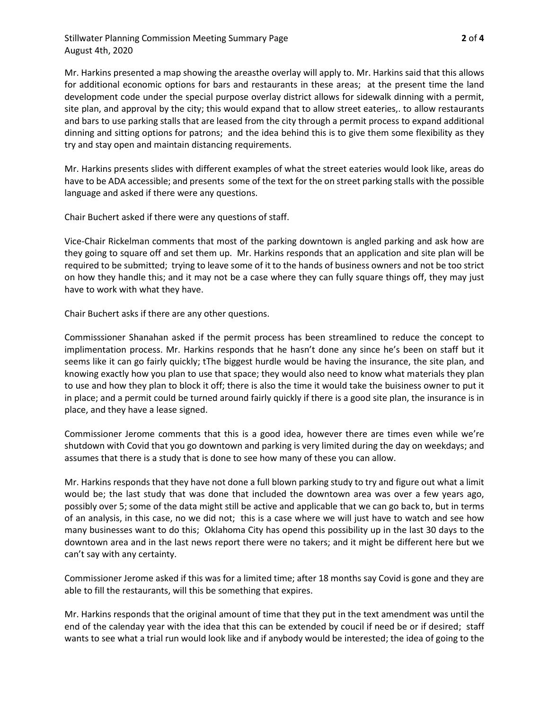Stillwater Planning Commission Meeting Summary Page **2** of **4** August 4th, 2020

Mr. Harkins presented a map showing the areasthe overlay will apply to. Mr. Harkins said that this allows for additional economic options for bars and restaurants in these areas; at the present time the land development code under the special purpose overlay district allows for sidewalk dinning with a permit, site plan, and approval by the city; this would expand that to allow street eateries,. to allow restaurants and bars to use parking stalls that are leased from the city through a permit process to expand additional dinning and sitting options for patrons; and the idea behind this is to give them some flexibility as they try and stay open and maintain distancing requirements.

Mr. Harkins presents slides with different examples of what the street eateries would look like, areas do have to be ADA accessible; and presents some of the text for the on street parking stalls with the possible language and asked if there were any questions.

Chair Buchert asked if there were any questions of staff.

Vice-Chair Rickelman comments that most of the parking downtown is angled parking and ask how are they going to square off and set them up. Mr. Harkins responds that an application and site plan will be required to be submitted; trying to leave some of it to the hands of business owners and not be too strict on how they handle this; and it may not be a case where they can fully square things off, they may just have to work with what they have.

Chair Buchert asks if there are any other questions.

Commisssioner Shanahan asked if the permit process has been streamlined to reduce the concept to implimentation process. Mr. Harkins responds that he hasn't done any since he's been on staff but it seems like it can go fairly quickly; tThe biggest hurdle would be having the insurance, the site plan, and knowing exactly how you plan to use that space; they would also need to know what materials they plan to use and how they plan to block it off; there is also the time it would take the buisiness owner to put it in place; and a permit could be turned around fairly quickly if there is a good site plan, the insurance is in place, and they have a lease signed.

Commissioner Jerome comments that this is a good idea, however there are times even while we're shutdown with Covid that you go downtown and parking is very limited during the day on weekdays; and assumes that there is a study that is done to see how many of these you can allow.

Mr. Harkins responds that they have not done a full blown parking study to try and figure out what a limit would be; the last study that was done that included the downtown area was over a few years ago, possibly over 5; some of the data might still be active and applicable that we can go back to, but in terms of an analysis, in this case, no we did not; this is a case where we will just have to watch and see how many businesses want to do this; Oklahoma City has opend this possibility up in the last 30 days to the downtown area and in the last news report there were no takers; and it might be different here but we can't say with any certainty.

Commissioner Jerome asked if this was for a limited time; after 18 months say Covid is gone and they are able to fill the restaurants, will this be something that expires.

Mr. Harkins responds that the original amount of time that they put in the text amendment was until the end of the calenday year with the idea that this can be extended by coucil if need be or if desired; staff wants to see what a trial run would look like and if anybody would be interested; the idea of going to the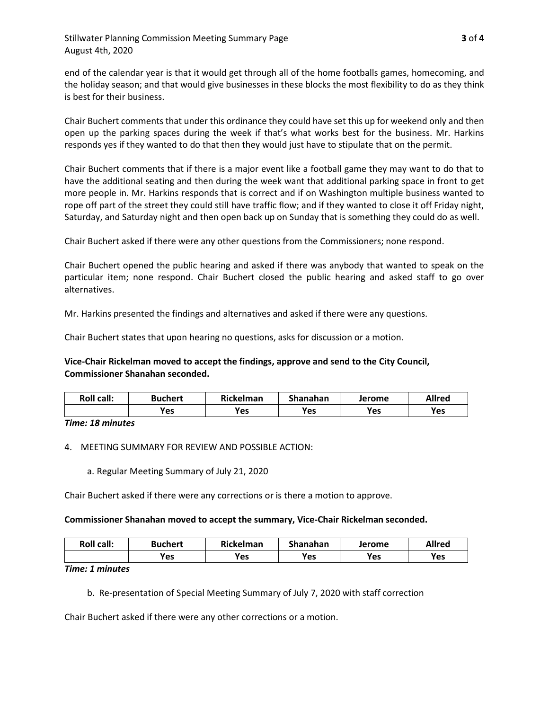end of the calendar year is that it would get through all of the home footballs games, homecoming, and the holiday season; and that would give businesses in these blocks the most flexibility to do as they think is best for their business.

Chair Buchert comments that under this ordinance they could have set this up for weekend only and then open up the parking spaces during the week if that's what works best for the business. Mr. Harkins responds yes if they wanted to do that then they would just have to stipulate that on the permit.

Chair Buchert comments that if there is a major event like a football game they may want to do that to have the additional seating and then during the week want that additional parking space in front to get more people in. Mr. Harkins responds that is correct and if on Washington multiple business wanted to rope off part of the street they could still have traffic flow; and if they wanted to close it off Friday night, Saturday, and Saturday night and then open back up on Sunday that is something they could do as well.

Chair Buchert asked if there were any other questions from the Commissioners; none respond.

Chair Buchert opened the public hearing and asked if there was anybody that wanted to speak on the particular item; none respond. Chair Buchert closed the public hearing and asked staff to go over alternatives.

Mr. Harkins presented the findings and alternatives and asked if there were any questions.

Chair Buchert states that upon hearing no questions, asks for discussion or a motion.

## **Vice-Chair Rickelman moved to accept the findings, approve and send to the City Council, Commissioner Shanahan seconded.**

| <b>Roll call:</b> | <b>Buchert</b> | <b>Rickelman</b> | Shanahan | Jerome | <b>Allred</b> |
|-------------------|----------------|------------------|----------|--------|---------------|
|                   | <b>Yes</b>     | Yes              | Yes      | Yes    | Yes           |

*Time: 18 minutes*

4. MEETING SUMMARY FOR REVIEW AND POSSIBLE ACTION:

a. Regular Meeting Summary of July 21, 2020

Chair Buchert asked if there were any corrections or is there a motion to approve.

### **Commissioner Shanahan moved to accept the summary, Vice-Chair Rickelman seconded.**

| <b>Roll call:</b> | <b>Buchert</b> | Rickelman | Shanahan | Jerome | <b>Allred</b> |
|-------------------|----------------|-----------|----------|--------|---------------|
|                   | <b>Yes</b>     | Yes       | Yes      | Yes    | Yes           |

*Time: 1 minutes*

b. Re-presentation of Special Meeting Summary of July 7, 2020 with staff correction

Chair Buchert asked if there were any other corrections or a motion.